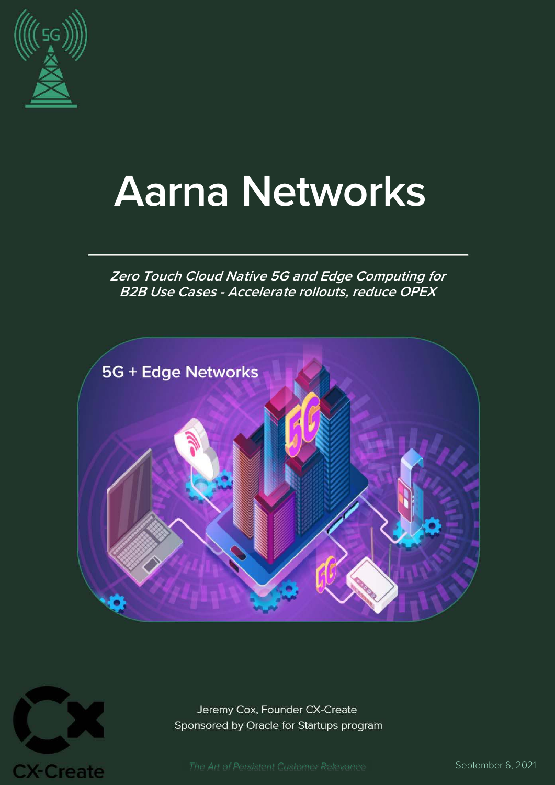

# **Aarna Networks**

### **Zero Touch Cloud Native 5G and Edge Computing for B2B Use Cases - Accelerate rollouts, reduce OPEX**





Jeremy Cox, Founder CX-Create Sponsored by Oracle for Startups program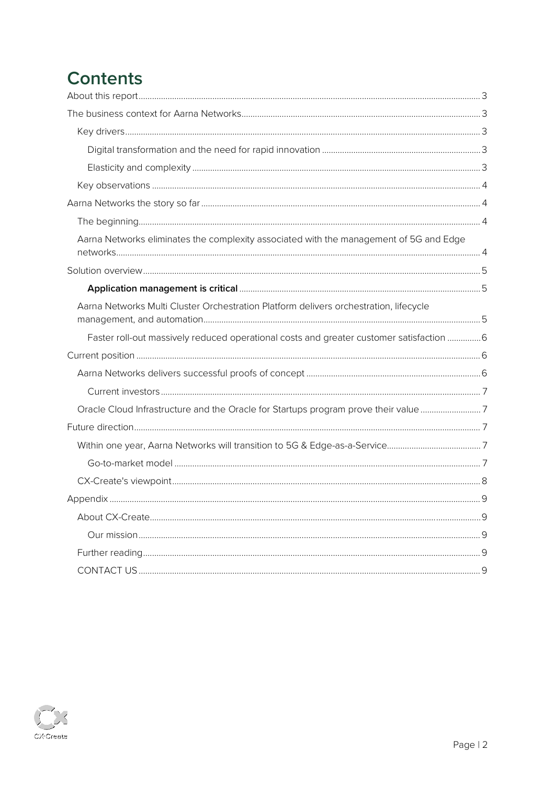# **Contents**

| Aarna Networks eliminates the complexity associated with the management of 5G and Edge   |  |
|------------------------------------------------------------------------------------------|--|
|                                                                                          |  |
|                                                                                          |  |
| Aarna Networks Multi Cluster Orchestration Platform delivers orchestration, lifecycle    |  |
| Faster roll-out massively reduced operational costs and greater customer satisfaction  6 |  |
|                                                                                          |  |
|                                                                                          |  |
|                                                                                          |  |
| Oracle Cloud Infrastructure and the Oracle for Startups program prove their value 7      |  |
|                                                                                          |  |
|                                                                                          |  |
|                                                                                          |  |
|                                                                                          |  |
|                                                                                          |  |
|                                                                                          |  |
|                                                                                          |  |
|                                                                                          |  |
|                                                                                          |  |

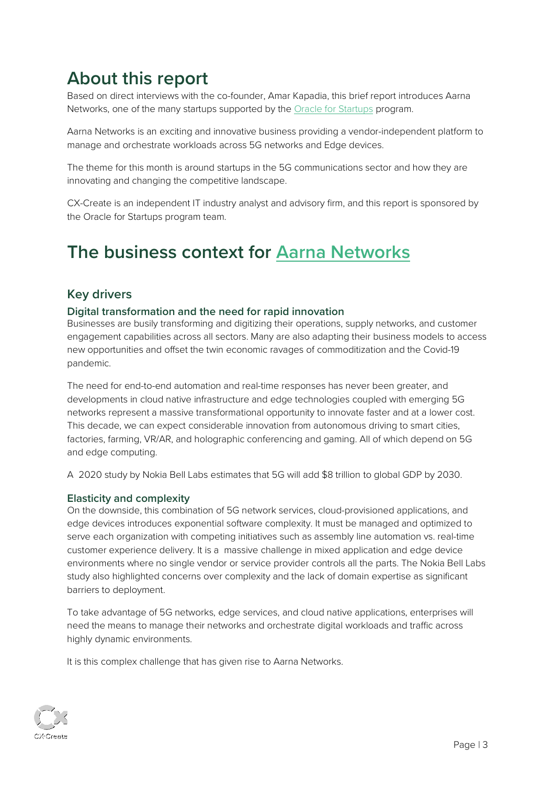# <span id="page-2-0"></span>**About this report**

Based on direct interviews with the co-founder, Amar Kapadia, this brief report introduces Aarna Networks, one of the many startups supported by the [Oracle for Startups](http://www.oracle.com/startup) program.

Aarna Networks is an exciting and innovative business providing a vendor-independent platform to manage and orchestrate workloads across 5G networks and Edge devices.

The theme for this month is around startups in the 5G communications sector and how they are innovating and changing the competitive landscape.

CX-Create is an independent IT industry analyst and advisory firm, and this report is sponsored by the Oracle for Startups program team.

# <span id="page-2-1"></span>**The business context for [Aarna Networks](https://www.aarnanetworks.com/)**

### <span id="page-2-2"></span>**Key drivers**

#### <span id="page-2-3"></span>**Digital transformation and the need for rapid innovation**

Businesses are busily transforming and digitizing their operations, supply networks, and customer engagement capabilities across all sectors. Many are also adapting their business models to access new opportunities and offset the twin economic ravages of commoditization and the Covid-19 pandemic.

The need for end-to-end automation and real-time responses has never been greater, and developments in cloud native infrastructure and edge technologies coupled with emerging 5G networks represent a massive transformational opportunity to innovate faster and at a lower cost. This decade, we can expect considerable innovation from autonomous driving to smart cities, factories, farming, VR/AR, and holographic conferencing and gaming. All of which depend on 5G and edge computing.

A 2020 study by Nokia Bell Labs estimates that 5G will add \$8 trillion to global GDP by 2030.

#### <span id="page-2-4"></span>**Elasticity and complexity**

On the downside, this combination of 5G network services, cloud-provisioned applications, and edge devices introduces exponential software complexity. It must be managed and optimized to serve each organization with competing initiatives such as assembly line automation vs. real-time customer experience delivery. It is a massive challenge in mixed application and edge device environments where no single vendor or service provider controls all the parts. The Nokia Bell Labs study also highlighted concerns over complexity and the lack of domain expertise as significant barriers to deployment.

To take advantage of 5G networks, edge services, and cloud native applications, enterprises will need the means to manage their networks and orchestrate digital workloads and traffic across highly dynamic environments.

It is this complex challenge that has given rise to Aarna Networks.

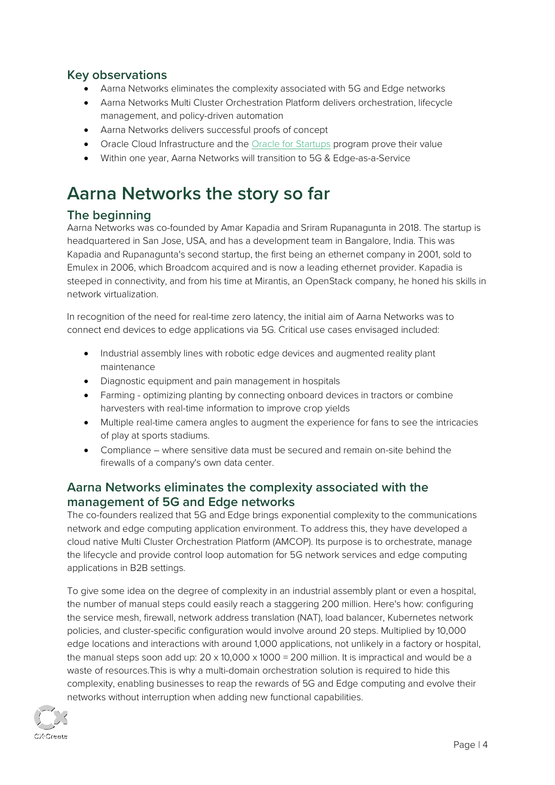### <span id="page-3-0"></span>**Key observations**

- Aarna Networks eliminates the complexity associated with 5G and Edge networks
- Aarna Networks Multi Cluster Orchestration Platform delivers orchestration, lifecycle management, and policy-driven automation
- Aarna Networks delivers successful proofs of concept
- Oracle Cloud Infrastructure and th[e Oracle for Startups](http://www.oracle.com/startup) program prove their value
- Within one year, Aarna Networks will transition to 5G & Edge-as-a-Service

# <span id="page-3-1"></span>**Aarna Networks the story so far**

### <span id="page-3-2"></span>**The beginning**

Aarna Networks was co-founded by Amar Kapadia and Sriram Rupanagunta in 2018. The startup is headquartered in San Jose, USA, and has a development team in Bangalore, India. This was Kapadia and Rupanagunta's second startup, the first being an ethernet company in 2001, sold to Emulex in 2006, which Broadcom acquired and is now a leading ethernet provider. Kapadia is steeped in connectivity, and from his time at Mirantis, an OpenStack company, he honed his skills in network virtualization.

In recognition of the need for real-time zero latency, the initial aim of Aarna Networks was to connect end devices to edge applications via 5G. Critical use cases envisaged included:

- Industrial assembly lines with robotic edge devices and augmented reality plant maintenance
- Diagnostic equipment and pain management in hospitals
- Farming optimizing planting by connecting onboard devices in tractors or combine harvesters with real-time information to improve crop yields
- Multiple real-time camera angles to augment the experience for fans to see the intricacies of play at sports stadiums.
- Compliance where sensitive data must be secured and remain on-site behind the firewalls of a company's own data center.

### <span id="page-3-3"></span>**Aarna Networks eliminates the complexity associated with the management of 5G and Edge networks**

The co-founders realized that 5G and Edge brings exponential complexity to the communications network and edge computing application environment. To address this, they have developed a cloud native Multi Cluster Orchestration Platform (AMCOP). Its purpose is to orchestrate, manage the lifecycle and provide control loop automation for 5G network services and edge computing applications in B2B settings.

To give some idea on the degree of complexity in an industrial assembly plant or even a hospital, the number of manual steps could easily reach a staggering 200 million. Here's how: configuring the service mesh, firewall, network address translation (NAT), load balancer, Kubernetes network policies, and cluster-specific configuration would involve around 20 steps. Multiplied by 10,000 edge locations and interactions with around 1,000 applications, not unlikely in a factory or hospital, the manual steps soon add up:  $20 \times 10,000 \times 1000 = 200$  million. It is impractical and would be a waste of resources.This is why a multi-domain orchestration solution is required to hide this complexity, enabling businesses to reap the rewards of 5G and Edge computing and evolve their networks without interruption when adding new functional capabilities.

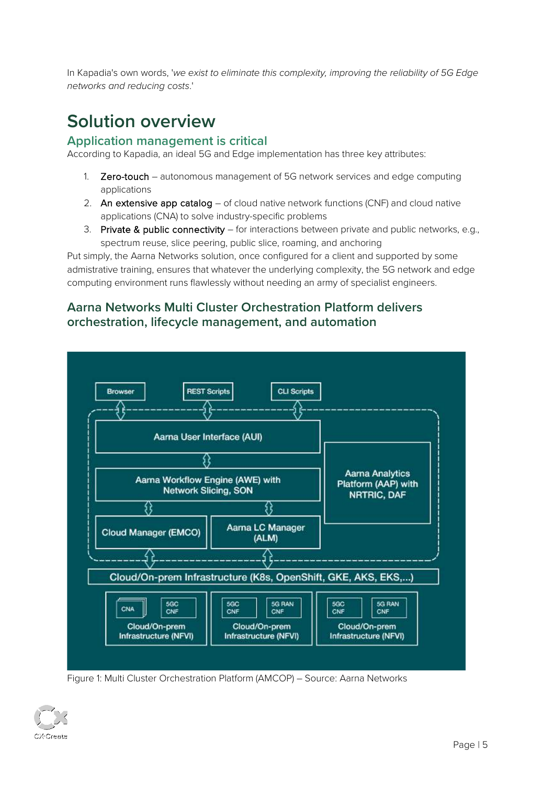In Kapadia's own words, 'we exist to eliminate this complexity, improving the reliability of 5G Edge networks and reducing costs.'

# <span id="page-4-0"></span>**Solution overview**

### <span id="page-4-1"></span>**Application management is critical**

According to Kapadia, an ideal 5G and Edge implementation has three key attributes:

- 1. **Zero-touch** autonomous management of 5G network services and edge computing applications
- 2. An extensive app catalog of cloud native network functions (CNF) and cloud native applications (CNA) to solve industry-specific problems
- 3. Private & public connectivity for interactions between private and public networks, e.g., spectrum reuse, slice peering, public slice, roaming, and anchoring

Put simply, the Aarna Networks solution, once configured for a client and supported by some admistrative training, ensures that whatever the underlying complexity, the 5G network and edge computing environment runs flawlessly without needing an army of specialist engineers.

### <span id="page-4-2"></span>**Aarna Networks Multi Cluster Orchestration Platform delivers orchestration, lifecycle management, and automation**



Figure 1: Multi Cluster Orchestration Platform (AMCOP) – Source: Aarna Networks

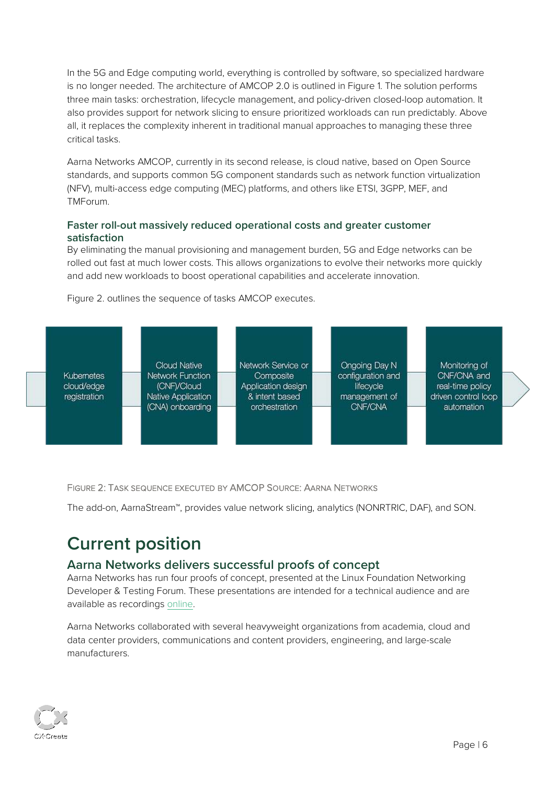In the 5G and Edge computing world, everything is controlled by software, so specialized hardware is no longer needed. The architecture of AMCOP 2.0 is outlined in Figure 1. The solution performs three main tasks: orchestration, lifecycle management, and policy-driven closed-loop automation. It also provides support for network slicing to ensure prioritized workloads can run predictably. Above all, it replaces the complexity inherent in traditional manual approaches to managing these three critical tasks.

Aarna Networks AMCOP, currently in its second release, is cloud native, based on Open Source standards, and supports common 5G component standards such as network function virtualization (NFV), multi-access edge computing (MEC) platforms, and others like ETSI, 3GPP, MEF, and TMForum.

#### <span id="page-5-0"></span>**Faster roll-out massively reduced operational costs and greater customer satisfaction**

By eliminating the manual provisioning and management burden, 5G and Edge networks can be rolled out fast at much lower costs. This allows organizations to evolve their networks more quickly and add new workloads to boost operational capabilities and accelerate innovation.

Figure 2. outlines the sequence of tasks AMCOP executes.



FIGURE 2: TASK SEQUENCE EXECUTED BY AMCOP SOURCE: AARNA NETWORKS

The add-on, AarnaStream™, provides value network slicing, analytics (NONRTRIC, DAF), and SON.

# <span id="page-5-1"></span>**Current position**

### <span id="page-5-2"></span>**Aarna Networks delivers successful proofs of concept**

Aarna Networks has run four proofs of concept, presented at the Linux Foundation Networking Developer & Testing Forum. These presentations are intended for a technical audience and are available as recordings [online.](https://www.aarnanetworks.com/post/join-our-linux-foundation-networking-developer-testing-forum-presentations)

Aarna Networks collaborated with several heavyweight organizations from academia, cloud and data center providers, communications and content providers, engineering, and large-scale manufacturers.

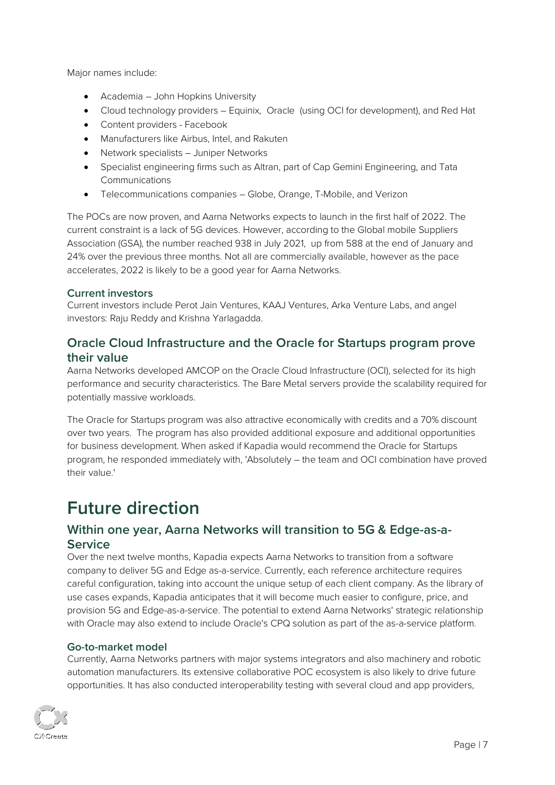Major names include:

- Academia John Hopkins University
- Cloud technology providers Equinix, Oracle (using OCI for development), and Red Hat
- Content providers Facebook
- Manufacturers like Airbus, Intel, and Rakuten
- Network specialists Juniper Networks
- Specialist engineering firms such as Altran, part of Cap Gemini Engineering, and Tata **Communications**
- Telecommunications companies Globe, Orange, T-Mobile, and Verizon

The POCs are now proven, and Aarna Networks expects to launch in the first half of 2022. The current constraint is a lack of 5G devices. However, according to the Global mobile Suppliers Association (GSA), the number reached 938 in July 2021, up from 588 at the end of January and 24% over the previous three months. Not all are commercially available, however as the pace accelerates, 2022 is likely to be a good year for Aarna Networks.

#### <span id="page-6-0"></span>**Current investors**

Current investors include Perot Jain Ventures, KAAJ Ventures, Arka Venture Labs, and angel investors: Raju Reddy and Krishna Yarlagadda.

### <span id="page-6-1"></span>**Oracle Cloud Infrastructure and the Oracle for Startups program prove their value**

Aarna Networks developed AMCOP on the Oracle Cloud Infrastructure (OCI), selected for its high performance and security characteristics. The Bare Metal servers provide the scalability required for potentially massive workloads.

The Oracle for Startups program was also attractive economically with credits and a 70% discount over two years. The program has also provided additional exposure and additional opportunities for business development. When asked if Kapadia would recommend the Oracle for Startups program, he responded immediately with, 'Absolutely – the team and OCI combination have proved their value.'

# <span id="page-6-2"></span>**Future direction**

### <span id="page-6-3"></span>**Within one year, Aarna Networks will transition to 5G & Edge-as-a-Service**

Over the next twelve months, Kapadia expects Aarna Networks to transition from a software company to deliver 5G and Edge as-a-service. Currently, each reference architecture requires careful configuration, taking into account the unique setup of each client company. As the library of use cases expands, Kapadia anticipates that it will become much easier to configure, price, and provision 5G and Edge-as-a-service. The potential to extend Aarna Networks' strategic relationship with Oracle may also extend to include Oracle's CPQ solution as part of the as-a-service platform.

#### <span id="page-6-4"></span>**Go-to-market model**

Currently, Aarna Networks partners with major systems integrators and also machinery and robotic automation manufacturers. Its extensive collaborative POC ecosystem is also likely to drive future opportunities. It has also conducted interoperability testing with several cloud and app providers,

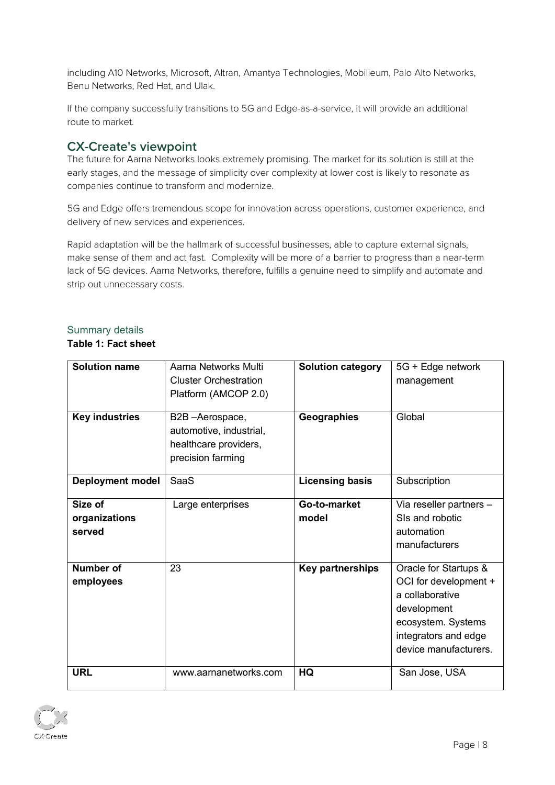including A10 Networks, Microsoft, Altran, Amantya Technologies, Mobilieum, Palo Alto Networks, Benu Networks, Red Hat, and Ulak.

If the company successfully transitions to 5G and Edge-as-a-service, it will provide an additional route to market.

### <span id="page-7-0"></span>**CX-Create's viewpoint**

The future for Aarna Networks looks extremely promising. The market for its solution is still at the early stages, and the message of simplicity over complexity at lower cost is likely to resonate as companies continue to transform and modernize.

5G and Edge offers tremendous scope for innovation across operations, customer experience, and delivery of new services and experiences.

Rapid adaptation will be the hallmark of successful businesses, able to capture external signals, make sense of them and act fast. Complexity will be more of a barrier to progress than a near-term lack of 5G devices. Aarna Networks, therefore, fulfills a genuine need to simplify and automate and strip out unnecessary costs.

#### Summary details

#### **Table 1: Fact sheet**

| <b>Solution name</b>               | Aarna Networks Multi<br><b>Cluster Orchestration</b><br>Platform (AMCOP 2.0)            | <b>Solution category</b> | 5G + Edge network<br>management                                                                                                                         |
|------------------------------------|-----------------------------------------------------------------------------------------|--------------------------|---------------------------------------------------------------------------------------------------------------------------------------------------------|
| <b>Key industries</b>              | B2B-Aerospace,<br>automotive, industrial,<br>healthcare providers,<br>precision farming | Geographies              | Global                                                                                                                                                  |
| <b>Deployment model</b>            | SaaS                                                                                    | <b>Licensing basis</b>   | Subscription                                                                                                                                            |
| Size of<br>organizations<br>served | Large enterprises                                                                       | Go-to-market<br>model    | Via reseller partners -<br>SIs and robotic<br>automation<br>manufacturers                                                                               |
| Number of<br>employees             | 23                                                                                      | <b>Key partnerships</b>  | Oracle for Startups &<br>OCI for development +<br>a collaborative<br>development<br>ecosystem. Systems<br>integrators and edge<br>device manufacturers. |
| <b>URL</b>                         | www.aarnanetworks.com                                                                   | HQ                       | San Jose, USA                                                                                                                                           |